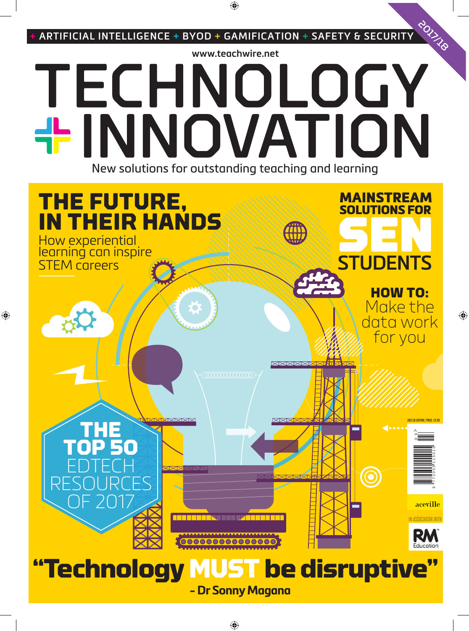

**- Dr Sonny Magana**

SSOCIATION WI

Fducatio

**"Technology MUST be disruptive"**

1000000000000000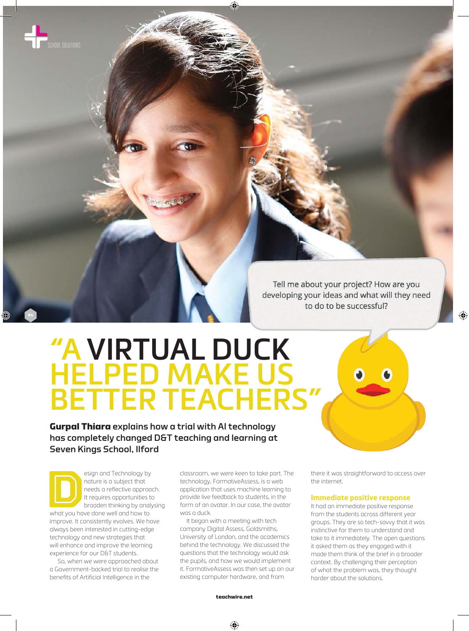

**64**

Tell me about your project? How are you developing your ideas and what will they need to do to be successful?

# **"A VIRTUAL DUCK HELPED MAKE US BETTER TEACHERS"**

**Gurpal Thiara** explains how a trial with AI technology has completely changed D&T teaching and learning at Seven Kings School, Ilford

esign and Technology by<br>
nature is a subject that<br>
needs a reflective approach<br>
the requires opportunities to<br>
broaden thinking by analy<br>
what you have done well and how to nature is a subject that needs a reflective approach. It requires opportunities to broaden thinking by analysing

improve. It consistently evolves. We have always been interested in cutting-edge technology and new strategies that will enhance and improve the learning experience for our D&T students.

 So, when we were approached about a Government-backed trial to realise the benefits of Artificial Intelligence in the

classroom, we were keen to take part. The technology, FormativeAssess, is a web application that uses machine learning to provide live feedback to students, in the form of an avatar. In our case, the avatar was a duck.

It began with a meeting with tech company Digital Assess, Goldsmiths, University of London, and the academics behind the technology. We discussed the questions that the technology would ask the pupils, and how we would implement it. FormativeAssess was then set up on our existing computer hardware, and from

there it was straightforward to access over the internet.

#### **Immediate positive response**

It had an immediate positive response from the students across different year groups. They are so tech-savvy that it was instinctive for them to understand and take to it immediately. The open questions it asked them as they engaged with it made them think of the brief in a broader context. By challenging their perception of what the problem was, they thought harder about the solutions.